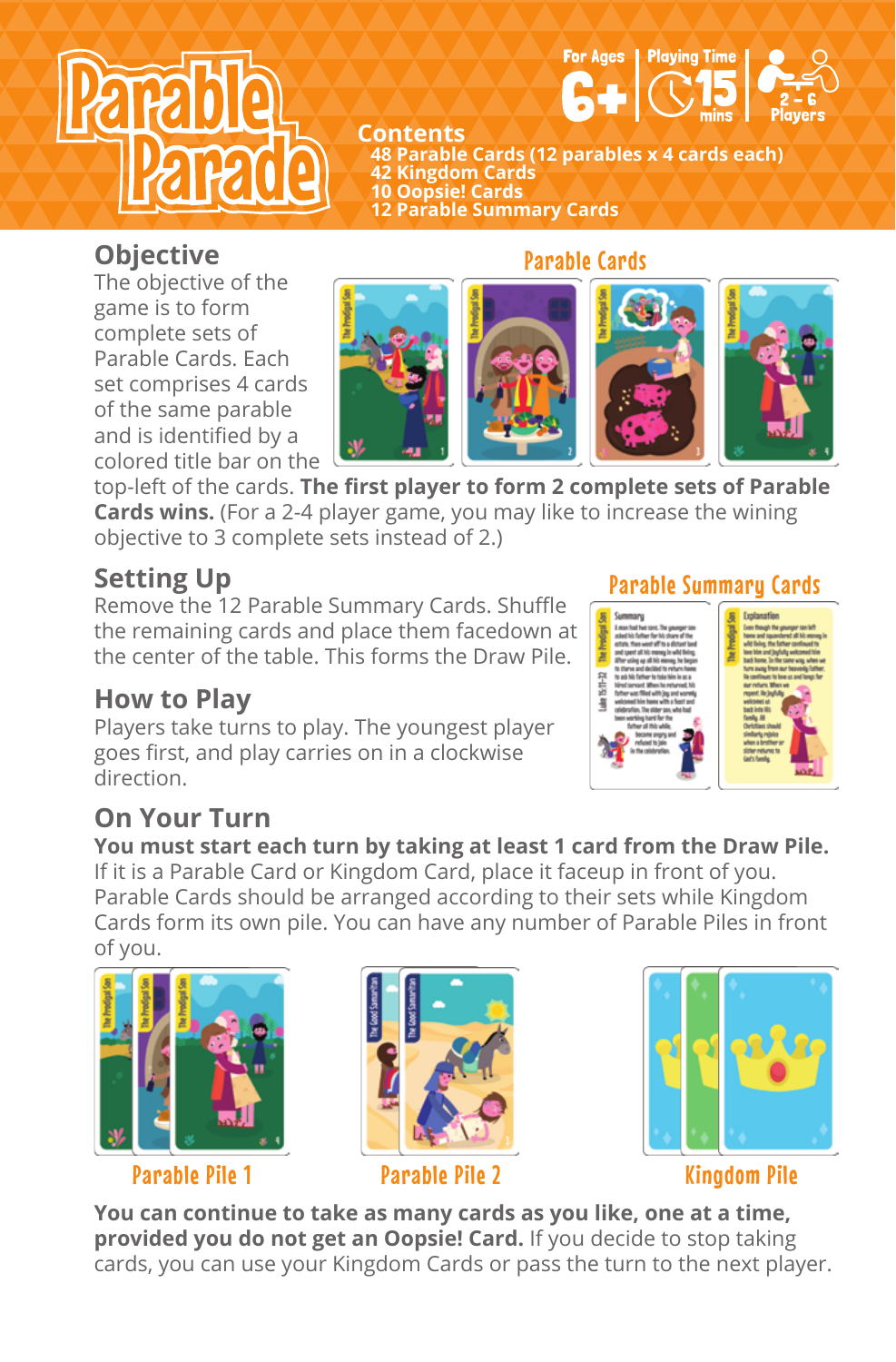



**Contents 48 Parable Cards (12 parables x 4 cards each) 42 Kingdom Cards 10 Oopsie! Cards 12 Parable Summary Cards**

### **Objective**

The objective of the game is to form complete sets of Parable Cards. Each set comprises 4 cards of the same parable and is identified by a colored title bar on the



top-left of the cards. **The first player to form 2 complete sets of Parable Cards wins.** (For a 2-4 player game, you may like to increase the wining objective to 3 complete sets instead of 2.)

## **Setting Up**

Remove the 12 Parable Summary Cards. Shuffle the remaining cards and place them facedown at the center of the table. This forms the Draw Pile.

### **How to Play**

Players take turns to play. The youngest player goes first, and play carries on in a clockwise direction.

### Parable Summary Cards



## **On Your Turn**

**You must start each turn by taking at least 1 card from the Draw Pile.** If it is a Parable Card or Kingdom Card, place it faceup in front of you. Parable Cards should be arranged according to their sets while Kingdom Cards form its own pile. You can have any number of Parable Piles in front of you.



#### Parable Pile 1 Parable Pile 2 Kingdom Pile





**You can continue to take as many cards as you like, one at a time, provided you do not get an Oopsie! Card.** If you decide to stop taking cards, you can use your Kingdom Cards or pass the turn to the next player.

#### Parable Cards